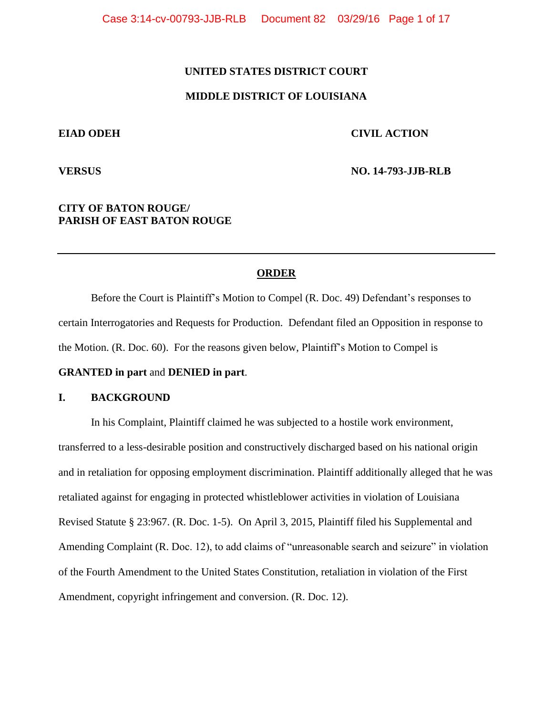# **UNITED STATES DISTRICT COURT**

# **MIDDLE DISTRICT OF LOUISIANA**

# **EIAD ODEH CIVIL ACTION**

**VERSUS NO. 14-793-JJB-RLB**

# **CITY OF BATON ROUGE/ PARISH OF EAST BATON ROUGE**

# **ORDER**

Before the Court is Plaintiff's Motion to Compel (R. Doc. 49) Defendant's responses to certain Interrogatories and Requests for Production. Defendant filed an Opposition in response to the Motion. (R. Doc. 60). For the reasons given below, Plaintiff's Motion to Compel is

# **GRANTED in part** and **DENIED in part**.

# **I. BACKGROUND**

In his Complaint, Plaintiff claimed he was subjected to a hostile work environment, transferred to a less-desirable position and constructively discharged based on his national origin and in retaliation for opposing employment discrimination. Plaintiff additionally alleged that he was retaliated against for engaging in protected whistleblower activities in violation of Louisiana Revised Statute § 23:967. (R. Doc. 1-5). On April 3, 2015, Plaintiff filed his Supplemental and Amending Complaint (R. Doc. 12), to add claims of "unreasonable search and seizure" in violation of the Fourth Amendment to the United States Constitution, retaliation in violation of the First Amendment, copyright infringement and conversion. (R. Doc. 12).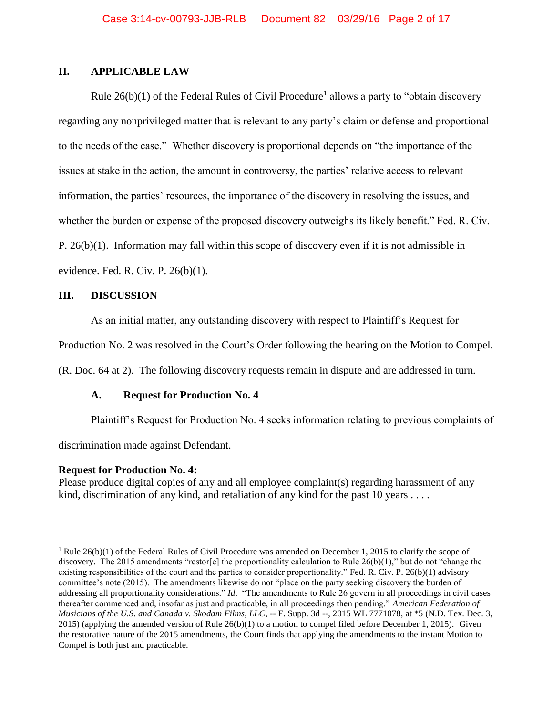# **II. APPLICABLE LAW**

Rule  $26(b)(1)$  of the Federal Rules of Civil Procedure<sup>1</sup> allows a party to "obtain discovery regarding any nonprivileged matter that is relevant to any party's claim or defense and proportional to the needs of the case." Whether discovery is proportional depends on "the importance of the issues at stake in the action, the amount in controversy, the parties' relative access to relevant information, the parties' resources, the importance of the discovery in resolving the issues, and whether the burden or expense of the proposed discovery outweighs its likely benefit." Fed. R. Civ. P. 26(b)(1). Information may fall within this scope of discovery even if it is not admissible in evidence. Fed. R. Civ. P. 26(b)(1).

# **III. DISCUSSION**

As an initial matter, any outstanding discovery with respect to Plaintiff's Request for

Production No. 2 was resolved in the Court's Order following the hearing on the Motion to Compel.

(R. Doc. 64 at 2). The following discovery requests remain in dispute and are addressed in turn.

# **A. Request for Production No. 4**

Plaintiff's Request for Production No. 4 seeks information relating to previous complaints of

discrimination made against Defendant.

## **Request for Production No. 4:**

 $\overline{a}$ 

Please produce digital copies of any and all employee complaint(s) regarding harassment of any kind, discrimination of any kind, and retaliation of any kind for the past  $10$  years  $\dots$ .

<sup>&</sup>lt;sup>1</sup> Rule 26(b)(1) of the Federal Rules of Civil Procedure was amended on December 1, 2015 to clarify the scope of discovery. The 2015 amendments "restor[e] the proportionality calculation to Rule  $26(b)(1)$ ," but do not "change the existing responsibilities of the court and the parties to consider proportionality." Fed. R. Civ. P. 26(b)(1) advisory committee's note (2015). The amendments likewise do not "place on the party seeking discovery the burden of addressing all proportionality considerations." *Id*. "The amendments to Rule 26 govern in all proceedings in civil cases thereafter commenced and, insofar as just and practicable, in all proceedings then pending." *American Federation of Musicians of the U.S. and Canada v. Skodam Films, LLC*, -- F. Supp. 3d --, 2015 WL 7771078, at \*5 (N.D. Tex. Dec. 3,  $2015$ ) (applying the amended version of Rule  $26(b)(1)$  to a motion to compel filed before December 1, 2015). Given the restorative nature of the 2015 amendments, the Court finds that applying the amendments to the instant Motion to Compel is both just and practicable.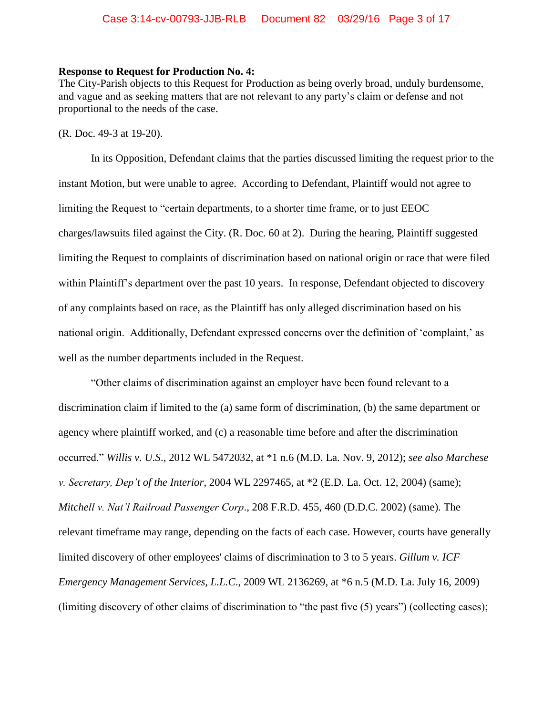## **Response to Request for Production No. 4:**

The City-Parish objects to this Request for Production as being overly broad, unduly burdensome, and vague and as seeking matters that are not relevant to any party's claim or defense and not proportional to the needs of the case.

(R. Doc. 49-3 at 19-20).

In its Opposition, Defendant claims that the parties discussed limiting the request prior to the instant Motion, but were unable to agree. According to Defendant, Plaintiff would not agree to limiting the Request to "certain departments, to a shorter time frame, or to just EEOC charges/lawsuits filed against the City. (R. Doc. 60 at 2). During the hearing, Plaintiff suggested limiting the Request to complaints of discrimination based on national origin or race that were filed within Plaintiff's department over the past 10 years. In response, Defendant objected to discovery of any complaints based on race, as the Plaintiff has only alleged discrimination based on his national origin. Additionally, Defendant expressed concerns over the definition of 'complaint,' as well as the number departments included in the Request.

"Other claims of discrimination against an employer have been found relevant to a discrimination claim if limited to the (a) same form of discrimination, (b) the same department or agency where plaintiff worked, and (c) a reasonable time before and after the discrimination occurred." *Willis v. U.S*., 2012 WL 5472032, at \*1 n.6 (M.D. La. Nov. 9, 2012); *see also Marchese v. Secretary, Dep't of the Interior*, 2004 WL 2297465, at \*2 (E.D. La. Oct. 12, 2004) (same); *Mitchell v. Nat'l Railroad Passenger Corp*., 208 F.R.D. 455, 460 (D.D.C. 2002) (same). The relevant timeframe may range, depending on the facts of each case. However, courts have generally limited discovery of other employees' claims of discrimination to 3 to 5 years. *Gillum v. ICF Emergency Management Services, L.L.C*., 2009 WL 2136269, at \*6 n.5 (M.D. La. July 16, 2009) (limiting discovery of other claims of discrimination to "the past five (5) years") (collecting cases);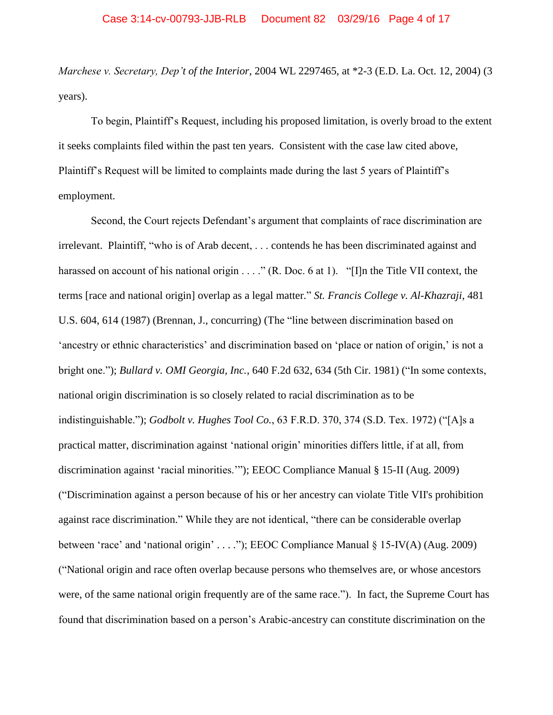*Marchese v. Secretary, Dep't of the Interior*, 2004 WL 2297465, at \*2-3 (E.D. La. Oct. 12, 2004) (3 years).

To begin, Plaintiff's Request, including his proposed limitation, is overly broad to the extent it seeks complaints filed within the past ten years. Consistent with the case law cited above, Plaintiff's Request will be limited to complaints made during the last 5 years of Plaintiff's employment.

Second, the Court rejects Defendant's argument that complaints of race discrimination are irrelevant. Plaintiff, "who is of Arab decent, . . . contends he has been discriminated against and harassed on account of his national origin . . . ." (R. Doc. 6 at 1). "[I]n the Title VII context, the terms [race and national origin] overlap as a legal matter." *St. Francis College v. Al-Khazraji*, 481 U.S. 604, 614 (1987) (Brennan, J., concurring) (The "line between discrimination based on 'ancestry or ethnic characteristics' and discrimination based on 'place or nation of origin,' is not a bright one."); *Bullard v. OMI Georgia, Inc.*, 640 F.2d 632, 634 (5th Cir. 1981) ("In some contexts, national origin discrimination is so closely related to racial discrimination as to be indistinguishable."); *Godbolt v. Hughes Tool Co.*, 63 F.R.D. 370, 374 (S.D. Tex. 1972) ("[A]s a practical matter, discrimination against 'national origin' minorities differs little, if at all, from discrimination against 'racial minorities.'"); EEOC Compliance Manual § 15-II (Aug. 2009) ("Discrimination against a person because of his or her ancestry can violate Title VII's prohibition against race discrimination." While they are not identical, "there can be considerable overlap between 'race' and 'national origin' . . . ."); EEOC Compliance Manual § 15-IV(A) (Aug. 2009) ("National origin and race often overlap because persons who themselves are, or whose ancestors were, of the same national origin frequently are of the same race."). In fact, the Supreme Court has found that discrimination based on a person's Arabic-ancestry can constitute discrimination on the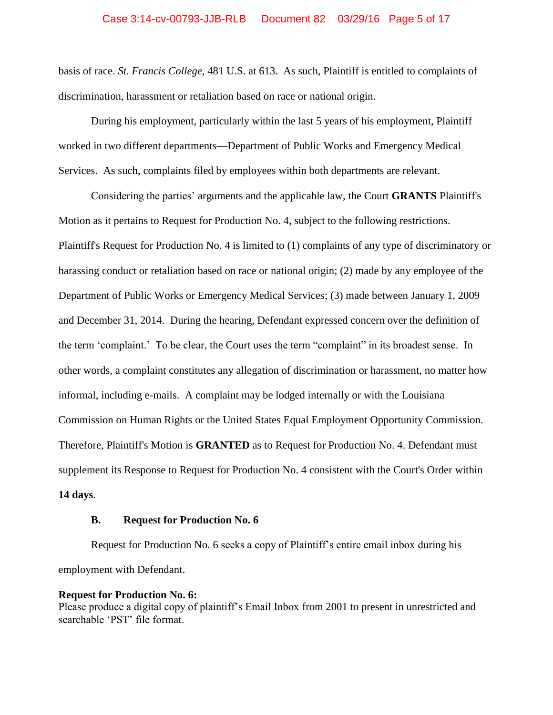# Case 3:14-cv-00793-JJB-RLB Document 82 03/29/16 Page 5 of 17

basis of race. *St. Francis College*, 481 U.S. at 613. As such, Plaintiff is entitled to complaints of discrimination, harassment or retaliation based on race or national origin.

During his employment, particularly within the last 5 years of his employment, Plaintiff worked in two different departments—Department of Public Works and Emergency Medical Services. As such, complaints filed by employees within both departments are relevant.

Considering the parties' arguments and the applicable law, the Court **GRANTS** Plaintiff's Motion as it pertains to Request for Production No. 4, subject to the following restrictions. Plaintiff's Request for Production No. 4 is limited to (1) complaints of any type of discriminatory or harassing conduct or retaliation based on race or national origin; (2) made by any employee of the Department of Public Works or Emergency Medical Services; (3) made between January 1, 2009 and December 31, 2014. During the hearing, Defendant expressed concern over the definition of the term 'complaint.' To be clear, the Court uses the term "complaint" in its broadest sense. In other words, a complaint constitutes any allegation of discrimination or harassment, no matter how informal, including e-mails. A complaint may be lodged internally or with the Louisiana Commission on Human Rights or the United States Equal Employment Opportunity Commission. Therefore, Plaintiff's Motion is **GRANTED** as to Request for Production No. 4. Defendant must supplement its Response to Request for Production No. 4 consistent with the Court's Order within **14 days**.

# **B. Request for Production No. 6**

Request for Production No. 6 seeks a copy of Plaintiff's entire email inbox during his employment with Defendant.

## **Request for Production No. 6:**

Please produce a digital copy of plaintiff's Email Inbox from 2001 to present in unrestricted and searchable 'PST' file format.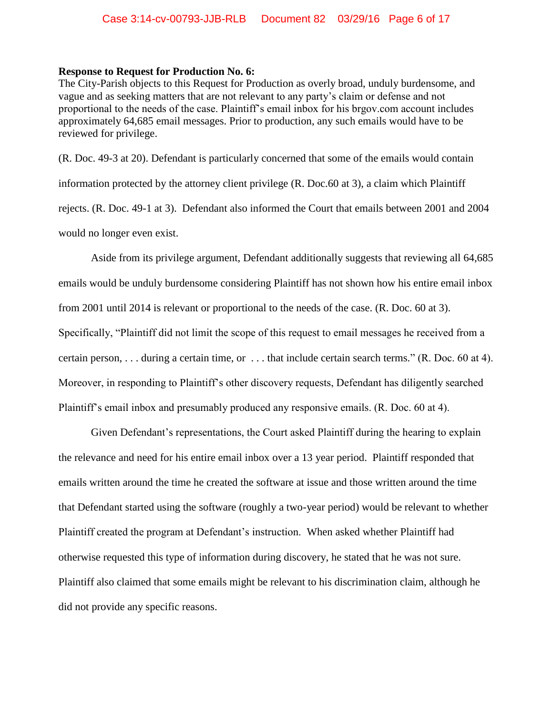## **Response to Request for Production No. 6:**

The City-Parish objects to this Request for Production as overly broad, unduly burdensome, and vague and as seeking matters that are not relevant to any party's claim or defense and not proportional to the needs of the case. Plaintiff's email inbox for his brgov.com account includes approximately 64,685 email messages. Prior to production, any such emails would have to be reviewed for privilege.

(R. Doc. 49-3 at 20). Defendant is particularly concerned that some of the emails would contain information protected by the attorney client privilege (R. Doc.60 at 3), a claim which Plaintiff rejects. (R. Doc. 49-1 at 3). Defendant also informed the Court that emails between 2001 and 2004 would no longer even exist.

Aside from its privilege argument, Defendant additionally suggests that reviewing all 64,685 emails would be unduly burdensome considering Plaintiff has not shown how his entire email inbox from 2001 until 2014 is relevant or proportional to the needs of the case. (R. Doc. 60 at 3). Specifically, "Plaintiff did not limit the scope of this request to email messages he received from a certain person, . . . during a certain time, or . . . that include certain search terms." (R. Doc. 60 at 4). Moreover, in responding to Plaintiff's other discovery requests, Defendant has diligently searched Plaintiff's email inbox and presumably produced any responsive emails. (R. Doc. 60 at 4).

Given Defendant's representations, the Court asked Plaintiff during the hearing to explain the relevance and need for his entire email inbox over a 13 year period. Plaintiff responded that emails written around the time he created the software at issue and those written around the time that Defendant started using the software (roughly a two-year period) would be relevant to whether Plaintiff created the program at Defendant's instruction. When asked whether Plaintiff had otherwise requested this type of information during discovery, he stated that he was not sure. Plaintiff also claimed that some emails might be relevant to his discrimination claim, although he did not provide any specific reasons.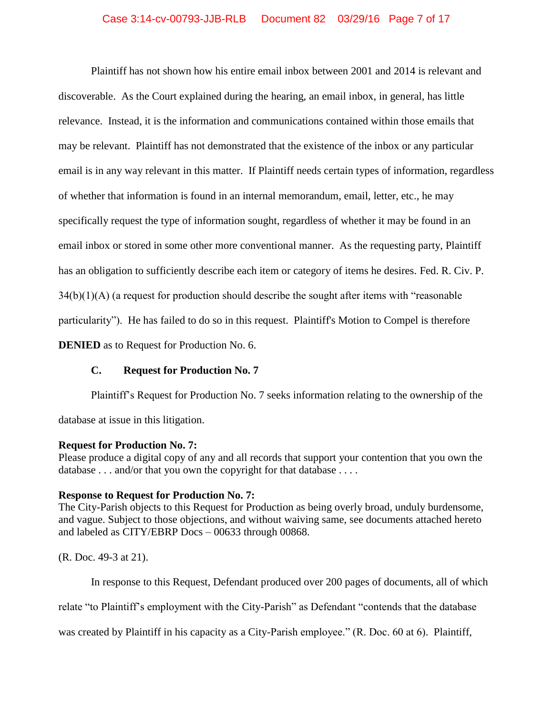# Case 3:14-cv-00793-JJB-RLB Document 82 03/29/16 Page 7 of 17

Plaintiff has not shown how his entire email inbox between 2001 and 2014 is relevant and discoverable. As the Court explained during the hearing, an email inbox, in general, has little relevance. Instead, it is the information and communications contained within those emails that may be relevant. Plaintiff has not demonstrated that the existence of the inbox or any particular email is in any way relevant in this matter. If Plaintiff needs certain types of information, regardless of whether that information is found in an internal memorandum, email, letter, etc., he may specifically request the type of information sought, regardless of whether it may be found in an email inbox or stored in some other more conventional manner. As the requesting party, Plaintiff has an obligation to sufficiently describe each item or category of items he desires. Fed. R. Civ. P.  $34(b)(1)(A)$  (a request for production should describe the sought after items with "reasonable" particularity"). He has failed to do so in this request. Plaintiff's Motion to Compel is therefore **DENIED** as to Request for Production No. 6.

## **C. Request for Production No. 7**

Plaintiff's Request for Production No. 7 seeks information relating to the ownership of the database at issue in this litigation.

## **Request for Production No. 7:**

Please produce a digital copy of any and all records that support your contention that you own the database . . . and/or that you own the copyright for that database . . . .

## **Response to Request for Production No. 7:**

The City-Parish objects to this Request for Production as being overly broad, unduly burdensome, and vague. Subject to those objections, and without waiving same, see documents attached hereto and labeled as CITY/EBRP Docs – 00633 through 00868.

(R. Doc. 49-3 at 21).

In response to this Request, Defendant produced over 200 pages of documents, all of which

relate "to Plaintiff's employment with the City-Parish" as Defendant "contends that the database

was created by Plaintiff in his capacity as a City-Parish employee." (R. Doc. 60 at 6). Plaintiff,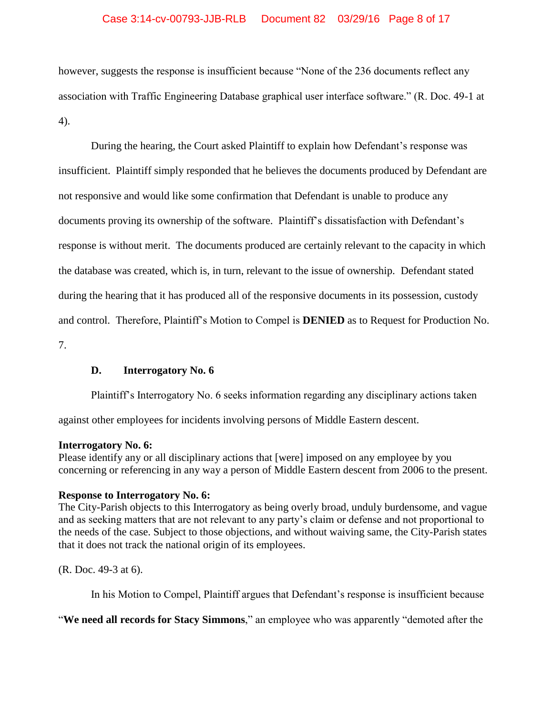# Case 3:14-cv-00793-JJB-RLB Document 82 03/29/16 Page 8 of 17

however, suggests the response is insufficient because "None of the 236 documents reflect any association with Traffic Engineering Database graphical user interface software." (R. Doc. 49-1 at 4).

During the hearing, the Court asked Plaintiff to explain how Defendant's response was insufficient. Plaintiff simply responded that he believes the documents produced by Defendant are not responsive and would like some confirmation that Defendant is unable to produce any documents proving its ownership of the software. Plaintiff's dissatisfaction with Defendant's response is without merit. The documents produced are certainly relevant to the capacity in which the database was created, which is, in turn, relevant to the issue of ownership. Defendant stated during the hearing that it has produced all of the responsive documents in its possession, custody and control. Therefore, Plaintiff's Motion to Compel is **DENIED** as to Request for Production No. 7.

# **D. Interrogatory No. 6**

Plaintiff's Interrogatory No. 6 seeks information regarding any disciplinary actions taken

against other employees for incidents involving persons of Middle Eastern descent.

# **Interrogatory No. 6:**

Please identify any or all disciplinary actions that [were] imposed on any employee by you concerning or referencing in any way a person of Middle Eastern descent from 2006 to the present.

# **Response to Interrogatory No. 6:**

The City-Parish objects to this Interrogatory as being overly broad, unduly burdensome, and vague and as seeking matters that are not relevant to any party's claim or defense and not proportional to the needs of the case. Subject to those objections, and without waiving same, the City-Parish states that it does not track the national origin of its employees.

(R. Doc. 49-3 at 6).

In his Motion to Compel, Plaintiff argues that Defendant's response is insufficient because

"**We need all records for Stacy Simmons**," an employee who was apparently "demoted after the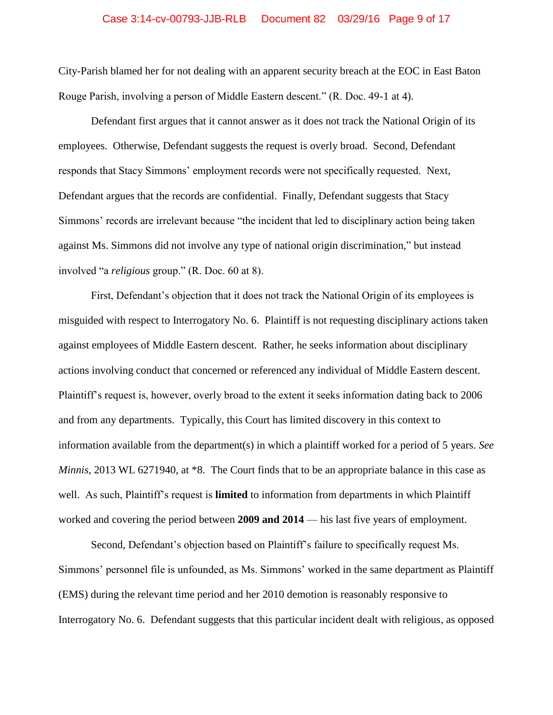#### Case 3:14-cv-00793-JJB-RLB Document 82 03/29/16 Page 9 of 17

City-Parish blamed her for not dealing with an apparent security breach at the EOC in East Baton Rouge Parish, involving a person of Middle Eastern descent." (R. Doc. 49-1 at 4).

Defendant first argues that it cannot answer as it does not track the National Origin of its employees. Otherwise, Defendant suggests the request is overly broad. Second, Defendant responds that Stacy Simmons' employment records were not specifically requested. Next, Defendant argues that the records are confidential. Finally, Defendant suggests that Stacy Simmons' records are irrelevant because "the incident that led to disciplinary action being taken against Ms. Simmons did not involve any type of national origin discrimination," but instead involved "a *religious* group." (R. Doc. 60 at 8).

First, Defendant's objection that it does not track the National Origin of its employees is misguided with respect to Interrogatory No. 6. Plaintiff is not requesting disciplinary actions taken against employees of Middle Eastern descent. Rather, he seeks information about disciplinary actions involving conduct that concerned or referenced any individual of Middle Eastern descent. Plaintiff's request is, however, overly broad to the extent it seeks information dating back to 2006 and from any departments. Typically, this Court has limited discovery in this context to information available from the department(s) in which a plaintiff worked for a period of 5 years. *See Minnis*, 2013 WL 6271940, at \*8. The Court finds that to be an appropriate balance in this case as well. As such, Plaintiff's request is **limited** to information from departments in which Plaintiff worked and covering the period between **2009 and 2014** — his last five years of employment.

Second, Defendant's objection based on Plaintiff's failure to specifically request Ms. Simmons' personnel file is unfounded, as Ms. Simmons' worked in the same department as Plaintiff (EMS) during the relevant time period and her 2010 demotion is reasonably responsive to Interrogatory No. 6. Defendant suggests that this particular incident dealt with religious, as opposed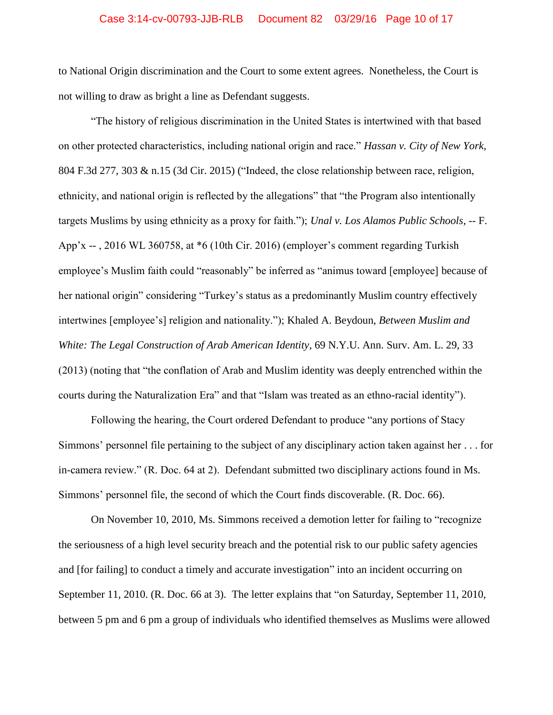#### Case 3:14-cv-00793-JJB-RLB Document 82 03/29/16 Page 10 of 17

to National Origin discrimination and the Court to some extent agrees. Nonetheless, the Court is not willing to draw as bright a line as Defendant suggests.

"The history of religious discrimination in the United States is intertwined with that based on other protected characteristics, including national origin and race." *Hassan v. City of New York*, 804 F.3d 277, 303 & n.15 (3d Cir. 2015) ("Indeed, the close relationship between race, religion, ethnicity, and national origin is reflected by the allegations" that "the Program also intentionally targets Muslims by using ethnicity as a proxy for faith."); *Unal v. Los Alamos Public Schools*, -- F. App'x -- , 2016 WL 360758, at \*6 (10th Cir. 2016) (employer's comment regarding Turkish employee's Muslim faith could "reasonably" be inferred as "animus toward [employee] because of her national origin" considering "Turkey's status as a predominantly Muslim country effectively intertwines [employee's] religion and nationality."); Khaled A. Beydoun, *Between Muslim and White: The Legal Construction of Arab American Identity*, 69 N.Y.U. Ann. Surv. Am. L. 29, 33 (2013) (noting that "the conflation of Arab and Muslim identity was deeply entrenched within the courts during the Naturalization Era" and that "Islam was treated as an ethno-racial identity").

Following the hearing, the Court ordered Defendant to produce "any portions of Stacy Simmons' personnel file pertaining to the subject of any disciplinary action taken against her . . . for in-camera review." (R. Doc. 64 at 2). Defendant submitted two disciplinary actions found in Ms. Simmons' personnel file, the second of which the Court finds discoverable. (R. Doc. 66).

On November 10, 2010, Ms. Simmons received a demotion letter for failing to "recognize the seriousness of a high level security breach and the potential risk to our public safety agencies and [for failing] to conduct a timely and accurate investigation" into an incident occurring on September 11, 2010. (R. Doc. 66 at 3). The letter explains that "on Saturday, September 11, 2010, between 5 pm and 6 pm a group of individuals who identified themselves as Muslims were allowed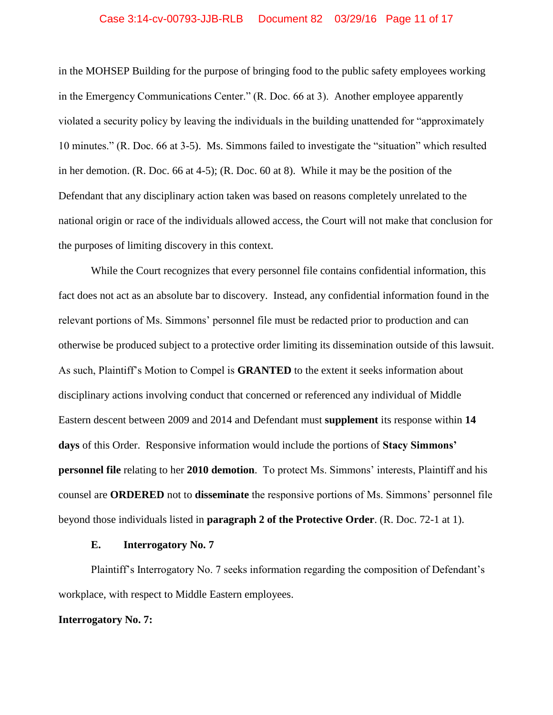#### Case 3:14-cv-00793-JJB-RLB Document 82 03/29/16 Page 11 of 17

in the MOHSEP Building for the purpose of bringing food to the public safety employees working in the Emergency Communications Center." (R. Doc. 66 at 3). Another employee apparently violated a security policy by leaving the individuals in the building unattended for "approximately 10 minutes." (R. Doc. 66 at 3-5). Ms. Simmons failed to investigate the "situation" which resulted in her demotion. (R. Doc. 66 at 4-5); (R. Doc. 60 at 8). While it may be the position of the Defendant that any disciplinary action taken was based on reasons completely unrelated to the national origin or race of the individuals allowed access, the Court will not make that conclusion for the purposes of limiting discovery in this context.

While the Court recognizes that every personnel file contains confidential information, this fact does not act as an absolute bar to discovery. Instead, any confidential information found in the relevant portions of Ms. Simmons' personnel file must be redacted prior to production and can otherwise be produced subject to a protective order limiting its dissemination outside of this lawsuit. As such, Plaintiff's Motion to Compel is **GRANTED** to the extent it seeks information about disciplinary actions involving conduct that concerned or referenced any individual of Middle Eastern descent between 2009 and 2014 and Defendant must **supplement** its response within **14 days** of this Order. Responsive information would include the portions of **Stacy Simmons' personnel file** relating to her **2010 demotion**. To protect Ms. Simmons' interests, Plaintiff and his counsel are **ORDERED** not to **disseminate** the responsive portions of Ms. Simmons' personnel file beyond those individuals listed in **paragraph 2 of the Protective Order**. (R. Doc. 72-1 at 1).

### **E. Interrogatory No. 7**

Plaintiff's Interrogatory No. 7 seeks information regarding the composition of Defendant's workplace, with respect to Middle Eastern employees.

#### **Interrogatory No. 7:**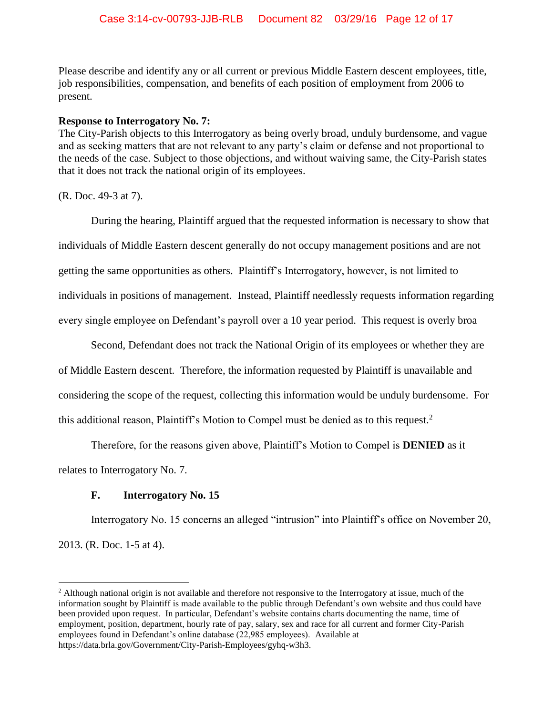Please describe and identify any or all current or previous Middle Eastern descent employees, title, job responsibilities, compensation, and benefits of each position of employment from 2006 to present.

## **Response to Interrogatory No. 7:**

The City-Parish objects to this Interrogatory as being overly broad, unduly burdensome, and vague and as seeking matters that are not relevant to any party's claim or defense and not proportional to the needs of the case. Subject to those objections, and without waiving same, the City-Parish states that it does not track the national origin of its employees.

(R. Doc. 49-3 at 7).

During the hearing, Plaintiff argued that the requested information is necessary to show that individuals of Middle Eastern descent generally do not occupy management positions and are not getting the same opportunities as others. Plaintiff's Interrogatory, however, is not limited to individuals in positions of management. Instead, Plaintiff needlessly requests information regarding every single employee on Defendant's payroll over a 10 year period. This request is overly broa

Second, Defendant does not track the National Origin of its employees or whether they are of Middle Eastern descent. Therefore, the information requested by Plaintiff is unavailable and considering the scope of the request, collecting this information would be unduly burdensome. For this additional reason, Plaintiff's Motion to Compel must be denied as to this request.<sup>2</sup>

Therefore, for the reasons given above, Plaintiff's Motion to Compel is **DENIED** as it relates to Interrogatory No. 7.

# **F. Interrogatory No. 15**

 $\overline{a}$ 

Interrogatory No. 15 concerns an alleged "intrusion" into Plaintiff's office on November 20, 2013. (R. Doc. 1-5 at 4).

<sup>&</sup>lt;sup>2</sup> Although national origin is not available and therefore not responsive to the Interrogatory at issue, much of the information sought by Plaintiff is made available to the public through Defendant's own website and thus could have been provided upon request. In particular, Defendant's website contains charts documenting the name, time of employment, position, department, hourly rate of pay, salary, sex and race for all current and former City-Parish employees found in Defendant's online database (22,985 employees). Available at https://data.brla.gov/Government/City-Parish-Employees/gyhq-w3h3.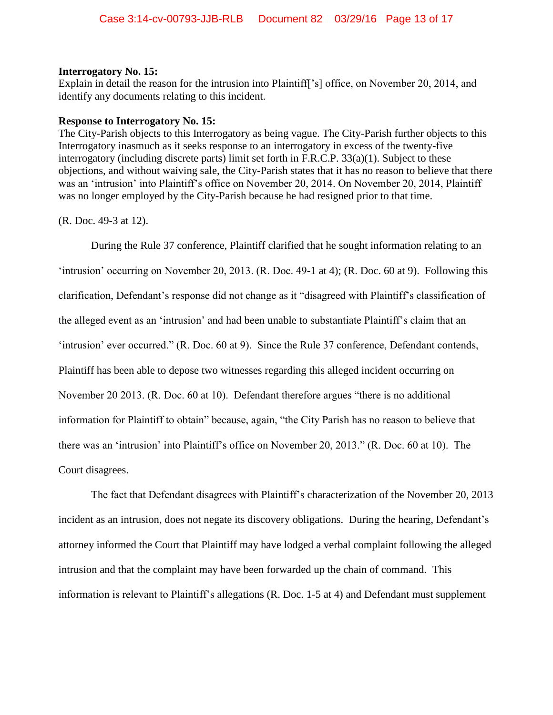## **Interrogatory No. 15:**

Explain in detail the reason for the intrusion into Plaintiff<sup>'</sup>s<sup>]</sup> office, on November 20, 2014, and identify any documents relating to this incident.

## **Response to Interrogatory No. 15:**

The City-Parish objects to this Interrogatory as being vague. The City-Parish further objects to this Interrogatory inasmuch as it seeks response to an interrogatory in excess of the twenty-five interrogatory (including discrete parts) limit set forth in F.R.C.P. 33(a)(1). Subject to these objections, and without waiving sale, the City-Parish states that it has no reason to believe that there was an 'intrusion' into Plaintiff's office on November 20, 2014. On November 20, 2014, Plaintiff was no longer employed by the City-Parish because he had resigned prior to that time.

(R. Doc. 49-3 at 12).

During the Rule 37 conference, Plaintiff clarified that he sought information relating to an 'intrusion' occurring on November 20, 2013. (R. Doc. 49-1 at 4); (R. Doc. 60 at 9). Following this clarification, Defendant's response did not change as it "disagreed with Plaintiff's classification of the alleged event as an 'intrusion' and had been unable to substantiate Plaintiff's claim that an 'intrusion' ever occurred." (R. Doc. 60 at 9). Since the Rule 37 conference, Defendant contends, Plaintiff has been able to depose two witnesses regarding this alleged incident occurring on November 20 2013. (R. Doc. 60 at 10). Defendant therefore argues "there is no additional information for Plaintiff to obtain" because, again, "the City Parish has no reason to believe that there was an 'intrusion' into Plaintiff's office on November 20, 2013." (R. Doc. 60 at 10). The Court disagrees.

The fact that Defendant disagrees with Plaintiff's characterization of the November 20, 2013 incident as an intrusion, does not negate its discovery obligations. During the hearing, Defendant's attorney informed the Court that Plaintiff may have lodged a verbal complaint following the alleged intrusion and that the complaint may have been forwarded up the chain of command. This information is relevant to Plaintiff's allegations (R. Doc. 1-5 at 4) and Defendant must supplement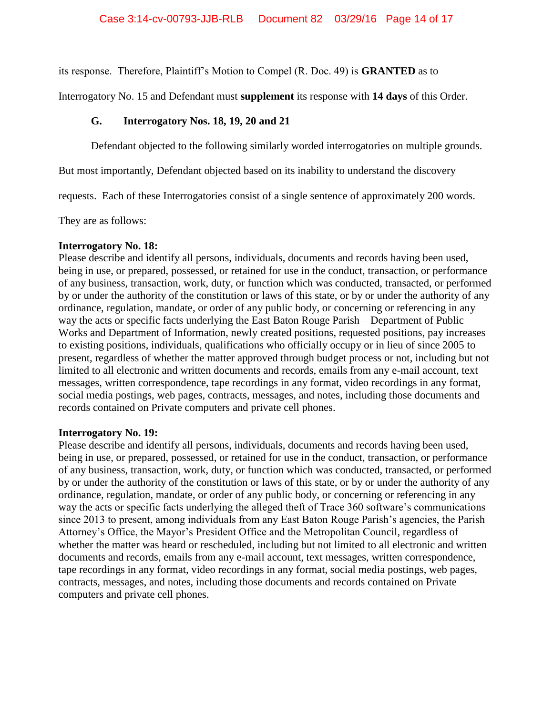its response. Therefore, Plaintiff's Motion to Compel (R. Doc. 49) is **GRANTED** as to

Interrogatory No. 15 and Defendant must **supplement** its response with **14 days** of this Order.

# **G. Interrogatory Nos. 18, 19, 20 and 21**

Defendant objected to the following similarly worded interrogatories on multiple grounds.

But most importantly, Defendant objected based on its inability to understand the discovery

requests. Each of these Interrogatories consist of a single sentence of approximately 200 words.

They are as follows:

# **Interrogatory No. 18:**

Please describe and identify all persons, individuals, documents and records having been used, being in use, or prepared, possessed, or retained for use in the conduct, transaction, or performance of any business, transaction, work, duty, or function which was conducted, transacted, or performed by or under the authority of the constitution or laws of this state, or by or under the authority of any ordinance, regulation, mandate, or order of any public body, or concerning or referencing in any way the acts or specific facts underlying the East Baton Rouge Parish – Department of Public Works and Department of Information, newly created positions, requested positions, pay increases to existing positions, individuals, qualifications who officially occupy or in lieu of since 2005 to present, regardless of whether the matter approved through budget process or not, including but not limited to all electronic and written documents and records, emails from any e-mail account, text messages, written correspondence, tape recordings in any format, video recordings in any format, social media postings, web pages, contracts, messages, and notes, including those documents and records contained on Private computers and private cell phones.

# **Interrogatory No. 19:**

Please describe and identify all persons, individuals, documents and records having been used, being in use, or prepared, possessed, or retained for use in the conduct, transaction, or performance of any business, transaction, work, duty, or function which was conducted, transacted, or performed by or under the authority of the constitution or laws of this state, or by or under the authority of any ordinance, regulation, mandate, or order of any public body, or concerning or referencing in any way the acts or specific facts underlying the alleged theft of Trace 360 software's communications since 2013 to present, among individuals from any East Baton Rouge Parish's agencies, the Parish Attorney's Office, the Mayor's President Office and the Metropolitan Council, regardless of whether the matter was heard or rescheduled, including but not limited to all electronic and written documents and records, emails from any e-mail account, text messages, written correspondence, tape recordings in any format, video recordings in any format, social media postings, web pages, contracts, messages, and notes, including those documents and records contained on Private computers and private cell phones.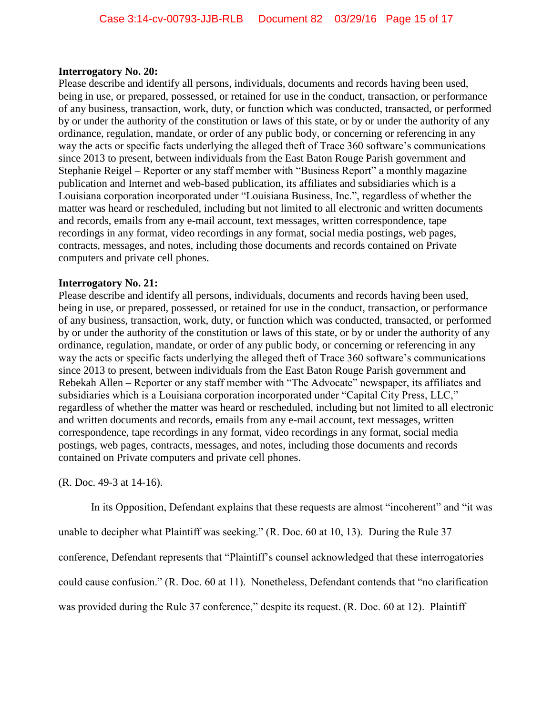# **Interrogatory No. 20:**

Please describe and identify all persons, individuals, documents and records having been used, being in use, or prepared, possessed, or retained for use in the conduct, transaction, or performance of any business, transaction, work, duty, or function which was conducted, transacted, or performed by or under the authority of the constitution or laws of this state, or by or under the authority of any ordinance, regulation, mandate, or order of any public body, or concerning or referencing in any way the acts or specific facts underlying the alleged theft of Trace 360 software's communications since 2013 to present, between individuals from the East Baton Rouge Parish government and Stephanie Reigel – Reporter or any staff member with "Business Report" a monthly magazine publication and Internet and web-based publication, its affiliates and subsidiaries which is a Louisiana corporation incorporated under "Louisiana Business, Inc.", regardless of whether the matter was heard or rescheduled, including but not limited to all electronic and written documents and records, emails from any e-mail account, text messages, written correspondence, tape recordings in any format, video recordings in any format, social media postings, web pages, contracts, messages, and notes, including those documents and records contained on Private computers and private cell phones.

# **Interrogatory No. 21:**

Please describe and identify all persons, individuals, documents and records having been used, being in use, or prepared, possessed, or retained for use in the conduct, transaction, or performance of any business, transaction, work, duty, or function which was conducted, transacted, or performed by or under the authority of the constitution or laws of this state, or by or under the authority of any ordinance, regulation, mandate, or order of any public body, or concerning or referencing in any way the acts or specific facts underlying the alleged theft of Trace 360 software's communications since 2013 to present, between individuals from the East Baton Rouge Parish government and Rebekah Allen – Reporter or any staff member with "The Advocate" newspaper, its affiliates and subsidiaries which is a Louisiana corporation incorporated under "Capital City Press, LLC," regardless of whether the matter was heard or rescheduled, including but not limited to all electronic and written documents and records, emails from any e-mail account, text messages, written correspondence, tape recordings in any format, video recordings in any format, social media postings, web pages, contracts, messages, and notes, including those documents and records contained on Private computers and private cell phones.

(R. Doc. 49-3 at 14-16).

In its Opposition, Defendant explains that these requests are almost "incoherent" and "it was

unable to decipher what Plaintiff was seeking." (R. Doc. 60 at 10, 13). During the Rule 37

conference, Defendant represents that "Plaintiff's counsel acknowledged that these interrogatories

could cause confusion." (R. Doc. 60 at 11). Nonetheless, Defendant contends that "no clarification

was provided during the Rule 37 conference," despite its request. (R. Doc. 60 at 12). Plaintiff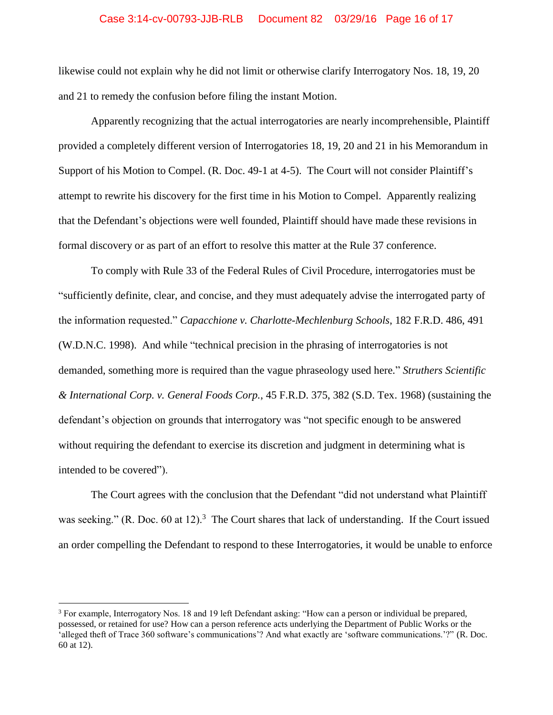## Case 3:14-cv-00793-JJB-RLB Document 82 03/29/16 Page 16 of 17

likewise could not explain why he did not limit or otherwise clarify Interrogatory Nos. 18, 19, 20 and 21 to remedy the confusion before filing the instant Motion.

Apparently recognizing that the actual interrogatories are nearly incomprehensible, Plaintiff provided a completely different version of Interrogatories 18, 19, 20 and 21 in his Memorandum in Support of his Motion to Compel. (R. Doc. 49-1 at 4-5). The Court will not consider Plaintiff's attempt to rewrite his discovery for the first time in his Motion to Compel. Apparently realizing that the Defendant's objections were well founded, Plaintiff should have made these revisions in formal discovery or as part of an effort to resolve this matter at the Rule 37 conference.

To comply with Rule 33 of the Federal Rules of Civil Procedure, interrogatories must be "sufficiently definite, clear, and concise, and they must adequately advise the interrogated party of the information requested." *Capacchione v. Charlotte-Mechlenburg Schools*, 182 F.R.D. 486, 491 (W.D.N.C. 1998). And while "technical precision in the phrasing of interrogatories is not demanded, something more is required than the vague phraseology used here." *Struthers Scientific & International Corp. v. General Foods Corp.*, 45 F.R.D. 375, 382 (S.D. Tex. 1968) (sustaining the defendant's objection on grounds that interrogatory was "not specific enough to be answered without requiring the defendant to exercise its discretion and judgment in determining what is intended to be covered").

The Court agrees with the conclusion that the Defendant "did not understand what Plaintiff was seeking." (R. Doc. 60 at 12).<sup>3</sup> The Court shares that lack of understanding. If the Court issued an order compelling the Defendant to respond to these Interrogatories, it would be unable to enforce

 $\overline{a}$ 

<sup>&</sup>lt;sup>3</sup> For example, Interrogatory Nos. 18 and 19 left Defendant asking: "How can a person or individual be prepared, possessed, or retained for use? How can a person reference acts underlying the Department of Public Works or the 'alleged theft of Trace 360 software's communications'? And what exactly are 'software communications.'?" (R. Doc. 60 at 12).